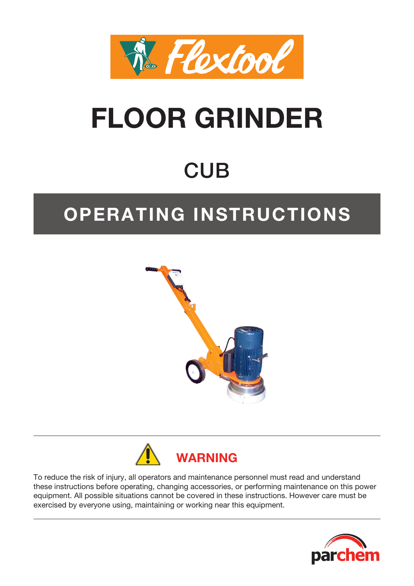

# **FLOOR GRINDER**

# **CUB**

# **OPERATING INSTRUCTIONS**





To reduce the risk of injury, all operators and maintenance personnel must read and understand these instructions before operating, changing accessories, or performing maintenance on this power equipment. All possible situations cannot be covered in these instructions. However care must be exercised by everyone using, maintaining or working near this equipment.

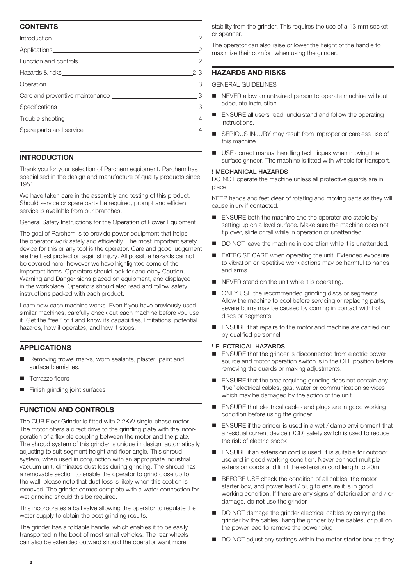## **CONTENTS**

|                    | -2                         |
|--------------------|----------------------------|
|                    |                            |
|                    | $\overline{\phantom{0}}^2$ |
|                    | $2 - 3$                    |
|                    |                            |
|                    |                            |
|                    |                            |
| Trouble shooting 4 |                            |
|                    |                            |
|                    |                            |

### **INTRODUCTION**

Thank you for your selection of Parchem equipment. Parchem has specialised in the design and manufacture of quality products since 1951.

We have taken care in the assembly and testing of this product. Should service or spare parts be required, prompt and efficient service is available from our branches.

General Safety Instructions for the Operation of Power Equipment

The goal of Parchem is to provide power equipment that helps the operator work safely and efficiently. The most important safety device for this or any tool is the operator. Care and good judgement are the best protection against injury. All possible hazards cannot be covered here, however we have highlighted some of the important items. Operators should look for and obey Caution, Warning and Danger signs placed on equipment, and displayed in the workplace. Operators should also read and follow safety instructions packed with each product.

Learn how each machine works. Even if you have previously used similar machines, carefully check out each machine before you use it. Get the "feel" of it and know its capabilities, limitations, potential hazards, how it operates, and how it stops.

#### **APPLICATIONS**

- Removing trowel marks, worn sealants, plaster, paint and surface blemishes.
- Terrazzo floors
- Finish grinding joint surfaces

#### **FUNCTION AND CONTROLS**

The CUB Floor Grinder is fitted with 2.2KW single-phase motor. The motor offers a direct drive to the grinding plate with the incorporation of a flexible coupling between the motor and the plate. The shroud system of this grinder is unique in design, automatically adjusting to suit segment height and floor angle. This shroud system, when used in conjunction with an appropriate industrial vacuum unit, eliminates dust loss during grinding. The shroud has a removable section to enable the operator to grind close up to the wall. please note that dust loss is likely when this section is removed. The grinder comes complete with a water connection for wet grinding should this be required.

This incorporates a ball valve allowing the operator to regulate the water supply to obtain the best grinding results.

The grinder has a foldable handle, which enables it to be easily transported in the boot of most small vehicles. The rear wheels can also be extended outward should the operator want more

stability from the grinder. This requires the use of a 13 mm socket or spanner.

The operator can also raise or lower the height of the handle to maximize their comfort when using the grinder.

### **HAZARDS AND RISKS**

GENERAL GUIDELINES

- NEVER allow an untrained person to operate machine without adequate instruction.
- **ENSURE all users read, understand and follow the operating** instructions.
- SERIOUS INJURY may result from improper or careless use of this machine.
- USE correct manual handling techniques when moving the surface grinder. The machine is fitted with wheels for transport.

#### ! MECHANICAL HAZARDS

DO NOT operate the machine unless all protective guards are in place.

KEEP hands and feet clear of rotating and moving parts as they will cause injury if contacted.

- ENSURE both the machine and the operator are stable by setting up on a level surface. Make sure the machine does not tip over, slide or fall while in operation or unattended.
- DO NOT leave the machine in operation while it is unattended.
- EXERCISE CARE when operating the unit. Extended exposure to vibration or repetitive work actions may be harmful to hands and arms.
- NEVER stand on the unit while it is operating.
- ONLY USE the recommended arinding discs or seaments. Allow the machine to cool before servicing or replacing parts, severe burns may be caused by coming in contact with hot discs or segments.
- **ENSURE** that repairs to the motor and machine are carried out by qualified personnel..

#### ! ELECTRICAL HAZARDS

- ENSURE that the grinder is disconnected from electric power source and motor operation switch is in the OFF position before removing the guards or making adjustments.
- **ENSURE** that the area requiring grinding does not contain any "live" electrical cables, gas, water or communication services which may be damaged by the action of the unit.
- **ENSURE that electrical cables and plugs are in good working** condition before using the grinder.
- ENSURE if the grinder is used in a wet / damp environment that a residual current device (RCD) safety switch is used to reduce the risk of electric shock
- ENSURE if an extension cord is used, it is suitable for outdoor use and in good working condition. Never connect multiple extension cords and limit the extension cord length to 20m
- **BEFORE USE check the condition of all cables, the motor** starter box, and power lead / plug to ensure it is in good working condition. If there are any signs of deterioration and / or damage, do not use the grinder
- DO NOT damage the grinder electrical cables by carrying the grinder by the cables, hang the grinder by the cables, or pull on the power lead to remove the power plug
- DO NOT adjust any settings within the motor starter box as they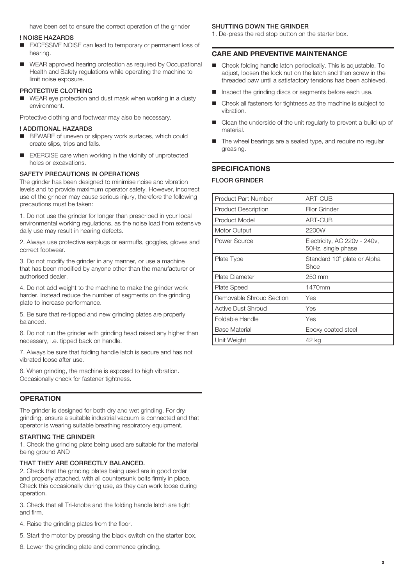have been set to ensure the correct operation of the grinder

#### ! NOISE HAZARDS

- **EXCESSIVE NOISE can lead to temporary or permanent loss of** hearing.
- WEAR approved hearing protection as required by Occupational Health and Safety regulations while operating the machine to limit noise exposure.

#### PROTECTIVE CLOTHING

 WEAR eye protection and dust mask when working in a dusty environment.

Protective clothing and footwear may also be necessary.

#### ! ADDITIONAL HAZARDS

- **BEWARE of uneven or slippery work surfaces, which could** create slips, trips and falls.
- EXERCISE care when working in the vicinity of unprotected holes or excavations.

#### SAFETY PRECAUTIONS IN OPERATIONS

The grinder has been designed to minimise noise and vibration levels and to provide maximum operator safety. However, incorrect use of the grinder may cause serious injury, therefore the following precautions must be taken:

1. Do not use the grinder for longer than prescribed in your local environmental working regulations, as the noise load from extensive daily use may result in hearing defects.

2. Always use protective earplugs or earmuffs, goggles, gloves and correct footwear.

3. Do not modify the grinder in any manner, or use a machine that has been modified by anyone other than the manufacturer or authorised dealer.

4. Do not add weight to the machine to make the grinder work harder. Instead reduce the number of segments on the grinding plate to increase performance.

5. Be sure that re-tipped and new grinding plates are properly balanced.

6. Do not run the grinder with grinding head raised any higher than necessary, i.e. tipped back on handle.

7. Always be sure that folding handle latch is secure and has not vibrated loose after use.

8. When grinding, the machine is exposed to high vibration. Occasionally check for fastener tightness.

#### **OPERATION**

The grinder is designed for both dry and wet grinding. For dry grinding, ensure a suitable industrial vacuum is connected and that operator is wearing suitable breathing respiratory equipment.

#### STARTING THE GRINDER

1. Check the grinding plate being used are suitable for the material being ground AND

#### THAT THEY ARE CORRECTLY BALANCED.

2. Check that the grinding plates being used are in good order and properly attached, with all countersunk bolts firmly in place. Check this occasionally during use, as they can work loose during operation.

3. Check that all Tri-knobs and the folding handle latch are tight and firm.

- 4. Raise the grinding plates from the floor.
- 5. Start the motor by pressing the black switch on the starter box.
- 6. Lower the grinding plate and commence grinding.

#### SHUTTING DOWN THE GRINDER

1. De-press the red stop button on the starter box.

#### **CARE AND PREVENTIVE MAINTENANCE**

- Check folding handle latch periodically. This is adjustable. To adjust, loosen the lock nut on the latch and then screw in the threaded paw until a satisfactory tensions has been achieved.
- Inspect the grinding discs or segments before each use.
- Check all fasteners for tightness as the machine is subject to vibration.
- Clean the underside of the unit regularly to prevent a build-up of material.
- The wheel bearings are a sealed type, and require no regular greasing.

#### **SPECIFICATIONS**

#### FLOOR GRINDER

| <b>Product Part Number</b> | ART-CUB                                            |
|----------------------------|----------------------------------------------------|
| <b>Product Description</b> | Fllor Grinder                                      |
| Product Model              | <b>ART-CUB</b>                                     |
| Motor Output               | 2200W                                              |
| Power Source               | Electricity, AC 220v - 240v,<br>50Hz, single phase |
| Plate Type                 | Standard 10" plate or Alpha<br>Shoe                |
| Plate Diameter             | 250 mm                                             |
| Plate Speed                | 1470mm                                             |
| Removable Shroud Section   | Yes                                                |
| <b>Active Dust Shroud</b>  | Yes                                                |
| Foldable Handle            | Yes                                                |
| <b>Base Material</b>       | Epoxy coated steel                                 |
| Unit Weight                | 42 kg                                              |